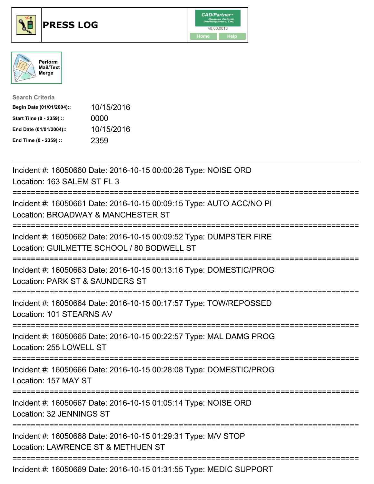

## **PRESS LOG** v8.00.0013





| <b>Search Criteria</b>    |            |
|---------------------------|------------|
| Begin Date (01/01/2004):: | 10/15/2016 |
| Start Time (0 - 2359) ::  | 0000       |
| End Date (01/01/2004)::   | 10/15/2016 |
| End Time (0 - 2359) ::    | 2359       |

Incident #: 16050660 Date: 2016-10-15 00:00:28 Type: NOISE ORD Location: 163 SALEM ST FL 3 =========================================================================== Incident #: 16050661 Date: 2016-10-15 00:09:15 Type: AUTO ACC/NO PI Location: BROADWAY & MANCHESTER ST =========================================================================== Incident #: 16050662 Date: 2016-10-15 00:09:52 Type: DUMPSTER FIRE Location: GUILMETTE SCHOOL / 80 BODWELL ST =========================================================================== Incident #: 16050663 Date: 2016-10-15 00:13:16 Type: DOMESTIC/PROG Location: PARK ST & SAUNDERS ST =========================================================================== Incident #: 16050664 Date: 2016-10-15 00:17:57 Type: TOW/REPOSSED Location: 101 STEARNS AV =========================================================================== Incident #: 16050665 Date: 2016-10-15 00:22:57 Type: MAL DAMG PROG Location: 255 LOWELL ST =========================================================================== Incident #: 16050666 Date: 2016-10-15 00:28:08 Type: DOMESTIC/PROG Location: 157 MAY ST =========================================================================== Incident #: 16050667 Date: 2016-10-15 01:05:14 Type: NOISE ORD Location: 32 JENNINGS ST =========================================================================== Incident #: 16050668 Date: 2016-10-15 01:29:31 Type: M/V STOP Location: LAWRENCE ST & METHUEN ST =========================================================================== Incident #: 16050669 Date: 2016-10-15 01:31:55 Type: MEDIC SUPPORT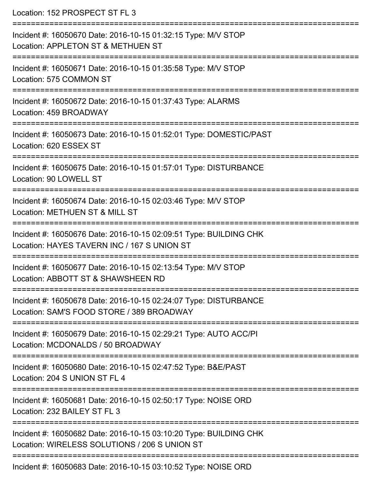Location: 152 PROSPECT ST FL 3 =========================================================================== Incident #: 16050670 Date: 2016-10-15 01:32:15 Type: M/V STOP Location: APPLETON ST & METHUEN ST =========================================================================== Incident #: 16050671 Date: 2016-10-15 01:35:58 Type: M/V STOP Location: 575 COMMON ST =========================================================================== Incident #: 16050672 Date: 2016-10-15 01:37:43 Type: ALARMS Location: 459 BROADWAY =========================================================================== Incident #: 16050673 Date: 2016-10-15 01:52:01 Type: DOMESTIC/PAST Location: 620 ESSEX ST =========================================================================== Incident #: 16050675 Date: 2016-10-15 01:57:01 Type: DISTURBANCE Location: 90 LOWELL ST =========================================================================== Incident #: 16050674 Date: 2016-10-15 02:03:46 Type: M/V STOP Location: METHUEN ST & MILL ST =========================================================================== Incident #: 16050676 Date: 2016-10-15 02:09:51 Type: BUILDING CHK Location: HAYES TAVERN INC / 167 S UNION ST =========================================================================== Incident #: 16050677 Date: 2016-10-15 02:13:54 Type: M/V STOP Location: ABBOTT ST & SHAWSHEEN RD =========================================================================== Incident #: 16050678 Date: 2016-10-15 02:24:07 Type: DISTURBANCE Location: SAM'S FOOD STORE / 389 BROADWAY =========================================================================== Incident #: 16050679 Date: 2016-10-15 02:29:21 Type: AUTO ACC/PI Location: MCDONALDS / 50 BROADWAY =========================================================================== Incident #: 16050680 Date: 2016-10-15 02:47:52 Type: B&E/PAST Location: 204 S UNION ST FL 4 =========================================================================== Incident #: 16050681 Date: 2016-10-15 02:50:17 Type: NOISE ORD Location: 232 BAILEY ST FL 3 =========================================================================== Incident #: 16050682 Date: 2016-10-15 03:10:20 Type: BUILDING CHK Location: WIRELESS SOLUTIONS / 206 S UNION ST =========================================================================== Incident #: 16050683 Date: 2016-10-15 03:10:52 Type: NOISE ORD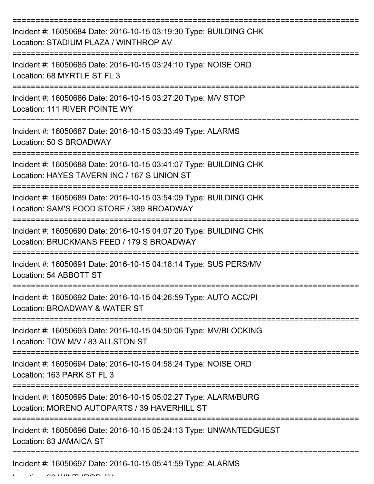| Incident #: 16050684 Date: 2016-10-15 03:19:30 Type: BUILDING CHK<br>Location: STADIUM PLAZA / WINTHROP AV                              |
|-----------------------------------------------------------------------------------------------------------------------------------------|
| Incident #: 16050685 Date: 2016-10-15 03:24:10 Type: NOISE ORD<br>Location: 68 MYRTLE ST FL 3                                           |
| Incident #: 16050686 Date: 2016-10-15 03:27:20 Type: M/V STOP<br>Location: 111 RIVER POINTE WY                                          |
| Incident #: 16050687 Date: 2016-10-15 03:33:49 Type: ALARMS<br>Location: 50 S BROADWAY                                                  |
| Incident #: 16050688 Date: 2016-10-15 03:41:07 Type: BUILDING CHK<br>Location: HAYES TAVERN INC / 167 S UNION ST<br>;================== |
| Incident #: 16050689 Date: 2016-10-15 03:54:09 Type: BUILDING CHK<br>Location: SAM'S FOOD STORE / 389 BROADWAY                          |
| Incident #: 16050690 Date: 2016-10-15 04:07:20 Type: BUILDING CHK<br>Location: BRUCKMANS FEED / 179 S BROADWAY                          |
| Incident #: 16050691 Date: 2016-10-15 04:18:14 Type: SUS PERS/MV<br>Location: 54 ABBOTT ST                                              |
| Incident #: 16050692 Date: 2016-10-15 04:26:59 Type: AUTO ACC/PI<br>Location: BROADWAY & WATER ST                                       |
| Incident #: 16050693 Date: 2016-10-15 04:50:06 Type: MV/BLOCKING<br>Location: TOW M/V / 83 ALLSTON ST                                   |
| Incident #: 16050694 Date: 2016-10-15 04:58:24 Type: NOISE ORD<br>Location: 163 PARK ST FL 3                                            |
| Incident #: 16050695 Date: 2016-10-15 05:02:27 Type: ALARM/BURG<br>Location: MORENO AUTOPARTS / 39 HAVERHILL ST                         |
| Incident #: 16050696 Date: 2016-10-15 05:24:13 Type: UNWANTEDGUEST<br>Location: 83 JAMAICA ST                                           |
| Incident #: 16050697 Date: 2016-10-15 05:41:59 Type: ALARMS                                                                             |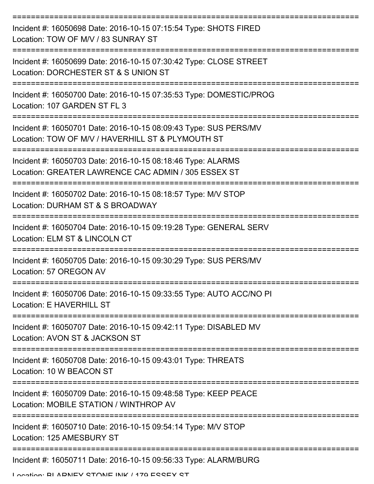| Incident #: 16050698 Date: 2016-10-15 07:15:54 Type: SHOTS FIRED<br>Location: TOW OF M/V / 83 SUNRAY ST               |
|-----------------------------------------------------------------------------------------------------------------------|
| Incident #: 16050699 Date: 2016-10-15 07:30:42 Type: CLOSE STREET<br>Location: DORCHESTER ST & S UNION ST             |
| Incident #: 16050700 Date: 2016-10-15 07:35:53 Type: DOMESTIC/PROG<br>Location: 107 GARDEN ST FL 3                    |
| Incident #: 16050701 Date: 2016-10-15 08:09:43 Type: SUS PERS/MV<br>Location: TOW OF M/V / HAVERHILL ST & PLYMOUTH ST |
| Incident #: 16050703 Date: 2016-10-15 08:18:46 Type: ALARMS<br>Location: GREATER LAWRENCE CAC ADMIN / 305 ESSEX ST    |
| Incident #: 16050702 Date: 2016-10-15 08:18:57 Type: M/V STOP<br>Location: DURHAM ST & S BROADWAY                     |
| Incident #: 16050704 Date: 2016-10-15 09:19:28 Type: GENERAL SERV<br>Location: ELM ST & LINCOLN CT                    |
| Incident #: 16050705 Date: 2016-10-15 09:30:29 Type: SUS PERS/MV<br>Location: 57 OREGON AV                            |
| Incident #: 16050706 Date: 2016-10-15 09:33:55 Type: AUTO ACC/NO PI<br>Location: E HAVERHILL ST                       |
| Incident #: 16050707 Date: 2016-10-15 09:42:11 Type: DISABLED MV<br>Location: AVON ST & JACKSON ST                    |
| Incident #: 16050708 Date: 2016-10-15 09:43:01 Type: THREATS<br>Location: 10 W BEACON ST                              |
| Incident #: 16050709 Date: 2016-10-15 09:48:58 Type: KEEP PEACE<br>Location: MOBILE STATION / WINTHROP AV             |
| Incident #: 16050710 Date: 2016-10-15 09:54:14 Type: M/V STOP<br>Location: 125 AMESBURY ST                            |
| Incident #: 16050711 Date: 2016-10-15 09:56:33 Type: ALARM/BURG                                                       |

Location: BLADNEY STONE INK / 170 ESSEY ST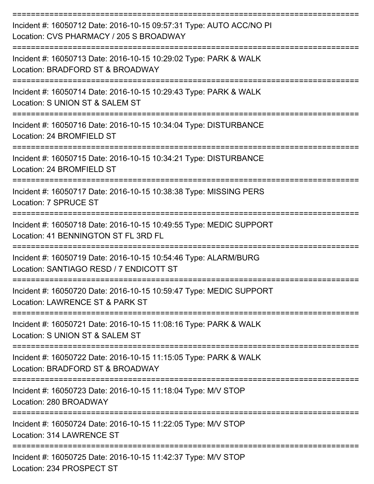| Incident #: 16050712 Date: 2016-10-15 09:57:31 Type: AUTO ACC/NO PI<br>Location: CVS PHARMACY / 205 S BROADWAY |
|----------------------------------------------------------------------------------------------------------------|
| Incident #: 16050713 Date: 2016-10-15 10:29:02 Type: PARK & WALK<br>Location: BRADFORD ST & BROADWAY           |
| Incident #: 16050714 Date: 2016-10-15 10:29:43 Type: PARK & WALK<br>Location: S UNION ST & SALEM ST            |
| Incident #: 16050716 Date: 2016-10-15 10:34:04 Type: DISTURBANCE<br>Location: 24 BROMFIELD ST                  |
| Incident #: 16050715 Date: 2016-10-15 10:34:21 Type: DISTURBANCE<br>Location: 24 BROMFIELD ST                  |
| Incident #: 16050717 Date: 2016-10-15 10:38:38 Type: MISSING PERS<br>Location: 7 SPRUCE ST                     |
| Incident #: 16050718 Date: 2016-10-15 10:49:55 Type: MEDIC SUPPORT<br>Location: 41 BENNINGTON ST FL 3RD FL     |
| Incident #: 16050719 Date: 2016-10-15 10:54:46 Type: ALARM/BURG<br>Location: SANTIAGO RESD / 7 ENDICOTT ST     |
| Incident #: 16050720 Date: 2016-10-15 10:59:47 Type: MEDIC SUPPORT<br>Location: LAWRENCE ST & PARK ST          |
| Incident #: 16050721 Date: 2016-10-15 11:08:16 Type: PARK & WALK<br>Location: S UNION ST & SALEM ST            |
| Incident #: 16050722 Date: 2016-10-15 11:15:05 Type: PARK & WALK<br>Location: BRADFORD ST & BROADWAY           |
| Incident #: 16050723 Date: 2016-10-15 11:18:04 Type: M/V STOP<br>Location: 280 BROADWAY                        |
| Incident #: 16050724 Date: 2016-10-15 11:22:05 Type: M/V STOP<br>Location: 314 LAWRENCE ST                     |
| Incident #: 16050725 Date: 2016-10-15 11:42:37 Type: M/V STOP<br>Location: 234 PROSPECT ST                     |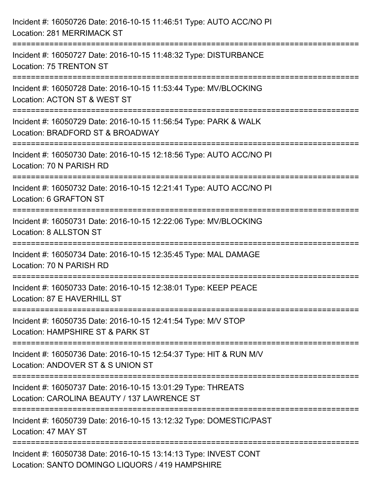| Incident #: 16050726 Date: 2016-10-15 11:46:51 Type: AUTO ACC/NO PI<br>Location: 281 MERRIMACK ST                                       |
|-----------------------------------------------------------------------------------------------------------------------------------------|
| =================================<br>Incident #: 16050727 Date: 2016-10-15 11:48:32 Type: DISTURBANCE<br>Location: 75 TRENTON ST        |
| Incident #: 16050728 Date: 2016-10-15 11:53:44 Type: MV/BLOCKING<br>Location: ACTON ST & WEST ST<br>=================================   |
| Incident #: 16050729 Date: 2016-10-15 11:56:54 Type: PARK & WALK<br>Location: BRADFORD ST & BROADWAY<br>=====================           |
| Incident #: 16050730 Date: 2016-10-15 12:18:56 Type: AUTO ACC/NO PI<br>Location: 70 N PARISH RD<br>==================================== |
| Incident #: 16050732 Date: 2016-10-15 12:21:41 Type: AUTO ACC/NO PI<br>Location: 6 GRAFTON ST                                           |
| Incident #: 16050731 Date: 2016-10-15 12:22:06 Type: MV/BLOCKING<br>Location: 8 ALLSTON ST                                              |
| Incident #: 16050734 Date: 2016-10-15 12:35:45 Type: MAL DAMAGE<br>Location: 70 N PARISH RD                                             |
| Incident #: 16050733 Date: 2016-10-15 12:38:01 Type: KEEP PEACE<br>Location: 87 E HAVERHILL ST                                          |
| Incident #: 16050735 Date: 2016-10-15 12:41:54 Type: M/V STOP<br>Location: HAMPSHIRE ST & PARK ST                                       |
| Incident #: 16050736 Date: 2016-10-15 12:54:37 Type: HIT & RUN M/V<br>Location: ANDOVER ST & S UNION ST                                 |
| Incident #: 16050737 Date: 2016-10-15 13:01:29 Type: THREATS<br>Location: CAROLINA BEAUTY / 137 LAWRENCE ST                             |
| Incident #: 16050739 Date: 2016-10-15 13:12:32 Type: DOMESTIC/PAST<br>Location: 47 MAY ST                                               |
| Incident #: 16050738 Date: 2016-10-15 13:14:13 Type: INVEST CONT<br>Location: SANTO DOMINGO LIQUORS / 419 HAMPSHIRE                     |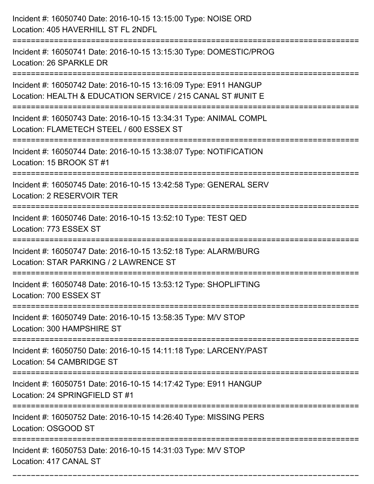| Incident #: 16050740 Date: 2016-10-15 13:15:00 Type: NOISE ORD<br>Location: 405 HAVERHILL ST FL 2NDFL                                  |
|----------------------------------------------------------------------------------------------------------------------------------------|
| Incident #: 16050741 Date: 2016-10-15 13:15:30 Type: DOMESTIC/PROG<br>Location: 26 SPARKLE DR                                          |
| Incident #: 16050742 Date: 2016-10-15 13:16:09 Type: E911 HANGUP<br>Location: HEALTH & EDUCATION SERVICE / 215 CANAL ST #UNIT E        |
| Incident #: 16050743 Date: 2016-10-15 13:34:31 Type: ANIMAL COMPL<br>Location: FLAMETECH STEEL / 600 ESSEX ST                          |
| Incident #: 16050744 Date: 2016-10-15 13:38:07 Type: NOTIFICATION<br>Location: 15 BROOK ST #1                                          |
| Incident #: 16050745 Date: 2016-10-15 13:42:58 Type: GENERAL SERV<br>Location: 2 RESERVOIR TER                                         |
| Incident #: 16050746 Date: 2016-10-15 13:52:10 Type: TEST QED<br>Location: 773 ESSEX ST                                                |
| Incident #: 16050747 Date: 2016-10-15 13:52:18 Type: ALARM/BURG<br>Location: STAR PARKING / 2 LAWRENCE ST                              |
| Incident #: 16050748 Date: 2016-10-15 13:53:12 Type: SHOPLIFTING<br>Location: 700 ESSEX ST                                             |
| Incident #: 16050749 Date: 2016-10-15 13:58:35 Type: M/V STOP<br>Location: 300 HAMPSHIRE ST                                            |
| ====================================<br>Incident #: 16050750 Date: 2016-10-15 14:11:18 Type: LARCENY/PAST<br>Location: 54 CAMBRIDGE ST |
| Incident #: 16050751 Date: 2016-10-15 14:17:42 Type: E911 HANGUP<br>Location: 24 SPRINGFIELD ST #1                                     |
| Incident #: 16050752 Date: 2016-10-15 14:26:40 Type: MISSING PERS<br>Location: OSGOOD ST                                               |
| Incident #: 16050753 Date: 2016-10-15 14:31:03 Type: M/V STOP<br>Location: 417 CANAL ST                                                |

===========================================================================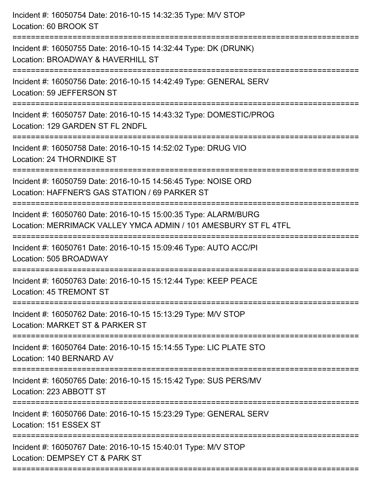| Incident #: 16050754 Date: 2016-10-15 14:32:35 Type: M/V STOP<br>Location: 60 BROOK ST                                                                 |
|--------------------------------------------------------------------------------------------------------------------------------------------------------|
| Incident #: 16050755 Date: 2016-10-15 14:32:44 Type: DK (DRUNK)<br>Location: BROADWAY & HAVERHILL ST                                                   |
| Incident #: 16050756 Date: 2016-10-15 14:42:49 Type: GENERAL SERV<br>Location: 59 JEFFERSON ST                                                         |
| Incident #: 16050757 Date: 2016-10-15 14:43:32 Type: DOMESTIC/PROG<br>Location: 129 GARDEN ST FL 2NDFL                                                 |
| Incident #: 16050758 Date: 2016-10-15 14:52:02 Type: DRUG VIO<br>Location: 24 THORNDIKE ST                                                             |
| Incident #: 16050759 Date: 2016-10-15 14:56:45 Type: NOISE ORD<br>Location: HAFFNER'S GAS STATION / 69 PARKER ST<br>;================================= |
| Incident #: 16050760 Date: 2016-10-15 15:00:35 Type: ALARM/BURG<br>Location: MERRIMACK VALLEY YMCA ADMIN / 101 AMESBURY ST FL 4TFL                     |
| Incident #: 16050761 Date: 2016-10-15 15:09:46 Type: AUTO ACC/PI<br>Location: 505 BROADWAY                                                             |
| Incident #: 16050763 Date: 2016-10-15 15:12:44 Type: KEEP PEACE<br>Location: 45 TREMONT ST                                                             |
| Incident #: 16050762 Date: 2016-10-15 15:13:29 Type: M/V STOP<br>Location: MARKET ST & PARKER ST                                                       |
| Incident #: 16050764 Date: 2016-10-15 15:14:55 Type: LIC PLATE STO<br>Location: 140 BERNARD AV                                                         |
| Incident #: 16050765 Date: 2016-10-15 15:15:42 Type: SUS PERS/MV<br>Location: 223 ABBOTT ST                                                            |
| Incident #: 16050766 Date: 2016-10-15 15:23:29 Type: GENERAL SERV<br>Location: 151 ESSEX ST                                                            |
| Incident #: 16050767 Date: 2016-10-15 15:40:01 Type: M/V STOP<br>Location: DEMPSEY CT & PARK ST                                                        |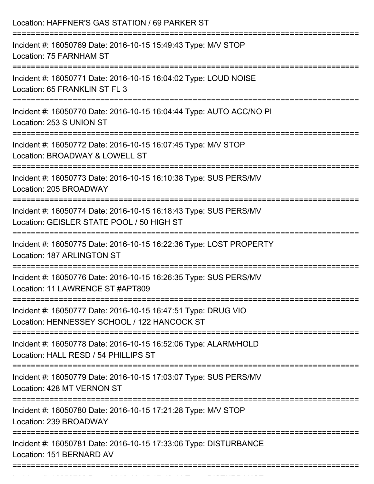| Location: HAFFNER'S GAS STATION / 69 PARKER ST                                                                                                                            |
|---------------------------------------------------------------------------------------------------------------------------------------------------------------------------|
| Incident #: 16050769 Date: 2016-10-15 15:49:43 Type: M/V STOP<br>Location: 75 FARNHAM ST<br>======================================<br>=================================== |
| Incident #: 16050771 Date: 2016-10-15 16:04:02 Type: LOUD NOISE<br>Location: 65 FRANKLIN ST FL 3                                                                          |
| Incident #: 16050770 Date: 2016-10-15 16:04:44 Type: AUTO ACC/NO PI<br>Location: 253 S UNION ST                                                                           |
| Incident #: 16050772 Date: 2016-10-15 16:07:45 Type: M/V STOP<br>Location: BROADWAY & LOWELL ST                                                                           |
| Incident #: 16050773 Date: 2016-10-15 16:10:38 Type: SUS PERS/MV<br>Location: 205 BROADWAY                                                                                |
| Incident #: 16050774 Date: 2016-10-15 16:18:43 Type: SUS PERS/MV<br>Location: GEISLER STATE POOL / 50 HIGH ST                                                             |
| =======================<br>Incident #: 16050775 Date: 2016-10-15 16:22:36 Type: LOST PROPERTY<br>Location: 187 ARLINGTON ST                                               |
| Incident #: 16050776 Date: 2016-10-15 16:26:35 Type: SUS PERS/MV<br>Location: 11 LAWRENCE ST #APT809                                                                      |
| Incident #: 16050777 Date: 2016-10-15 16:47:51 Type: DRUG VIO<br>Location: HENNESSEY SCHOOL / 122 HANCOCK ST                                                              |
| Incident #: 16050778 Date: 2016-10-15 16:52:06 Type: ALARM/HOLD<br>Location: HALL RESD / 54 PHILLIPS ST                                                                   |
| Incident #: 16050779 Date: 2016-10-15 17:03:07 Type: SUS PERS/MV<br>Location: 428 MT VERNON ST                                                                            |
| Incident #: 16050780 Date: 2016-10-15 17:21:28 Type: M/V STOP<br>Location: 239 BROADWAY                                                                                   |
| Incident #: 16050781 Date: 2016-10-15 17:33:06 Type: DISTURBANCE<br>Location: 151 BERNARD AV                                                                              |
|                                                                                                                                                                           |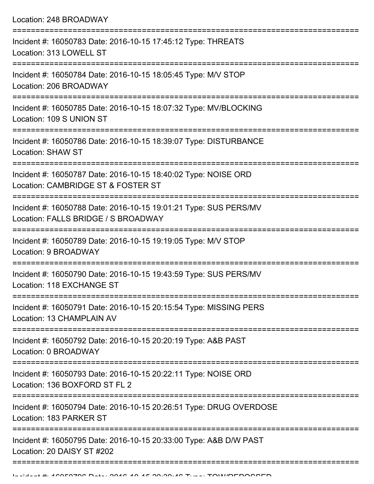| Location: 248 BROADWAY                                                                                                           |
|----------------------------------------------------------------------------------------------------------------------------------|
| Incident #: 16050783 Date: 2016-10-15 17:45:12 Type: THREATS<br>Location: 313 LOWELL ST                                          |
| Incident #: 16050784 Date: 2016-10-15 18:05:45 Type: M/V STOP<br>Location: 206 BROADWAY<br>===================================== |
| Incident #: 16050785 Date: 2016-10-15 18:07:32 Type: MV/BLOCKING<br>Location: 109 S UNION ST                                     |
| Incident #: 16050786 Date: 2016-10-15 18:39:07 Type: DISTURBANCE<br><b>Location: SHAW ST</b>                                     |
| Incident #: 16050787 Date: 2016-10-15 18:40:02 Type: NOISE ORD<br>Location: CAMBRIDGE ST & FOSTER ST                             |
| Incident #: 16050788 Date: 2016-10-15 19:01:21 Type: SUS PERS/MV<br>Location: FALLS BRIDGE / S BROADWAY                          |
| Incident #: 16050789 Date: 2016-10-15 19:19:05 Type: M/V STOP<br>Location: 9 BROADWAY                                            |
| Incident #: 16050790 Date: 2016-10-15 19:43:59 Type: SUS PERS/MV<br>Location: 118 EXCHANGE ST                                    |
| Incident #: 16050791 Date: 2016-10-15 20:15:54 Type: MISSING PERS<br>Location: 13 CHAMPLAIN AV                                   |
| Incident #: 16050792 Date: 2016-10-15 20:20:19 Type: A&B PAST<br>Location: 0 BROADWAY                                            |
| Incident #: 16050793 Date: 2016-10-15 20:22:11 Type: NOISE ORD<br>Location: 136 BOXFORD ST FL 2                                  |
| Incident #: 16050794 Date: 2016-10-15 20:26:51 Type: DRUG OVERDOSE<br>Location: 183 PARKER ST                                    |
| Incident #: 16050795 Date: 2016-10-15 20:33:00 Type: A&B D/W PAST<br>Location: 20 DAISY ST #202                                  |
|                                                                                                                                  |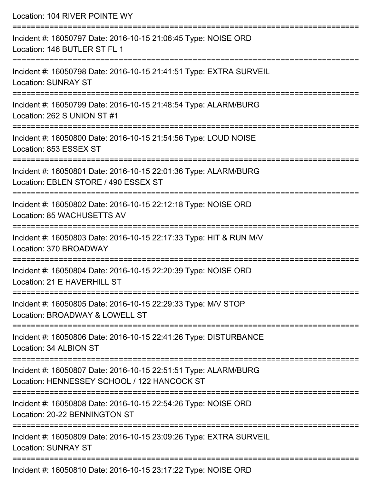| Location: 104 RIVER POINTE WY                                                                                  |
|----------------------------------------------------------------------------------------------------------------|
| Incident #: 16050797 Date: 2016-10-15 21:06:45 Type: NOISE ORD<br>Location: 146 BUTLER ST FL 1                 |
| Incident #: 16050798 Date: 2016-10-15 21:41:51 Type: EXTRA SURVEIL<br><b>Location: SUNRAY ST</b>               |
| Incident #: 16050799 Date: 2016-10-15 21:48:54 Type: ALARM/BURG<br>Location: 262 S UNION ST #1                 |
| Incident #: 16050800 Date: 2016-10-15 21:54:56 Type: LOUD NOISE<br>Location: 853 ESSEX ST                      |
| Incident #: 16050801 Date: 2016-10-15 22:01:36 Type: ALARM/BURG<br>Location: EBLEN STORE / 490 ESSEX ST        |
| Incident #: 16050802 Date: 2016-10-15 22:12:18 Type: NOISE ORD<br>Location: 85 WACHUSETTS AV                   |
| Incident #: 16050803 Date: 2016-10-15 22:17:33 Type: HIT & RUN M/V<br>Location: 370 BROADWAY                   |
| Incident #: 16050804 Date: 2016-10-15 22:20:39 Type: NOISE ORD<br>Location: 21 E HAVERHILL ST                  |
| Incident #: 16050805 Date: 2016-10-15 22:29:33 Type: M/V STOP<br>Location: BROADWAY & LOWELL ST                |
| Incident #: 16050806 Date: 2016-10-15 22:41:26 Type: DISTURBANCE<br>Location: 34 ALBION ST                     |
| Incident #: 16050807 Date: 2016-10-15 22:51:51 Type: ALARM/BURG<br>Location: HENNESSEY SCHOOL / 122 HANCOCK ST |
| Incident #: 16050808 Date: 2016-10-15 22:54:26 Type: NOISE ORD<br>Location: 20-22 BENNINGTON ST                |
| Incident #: 16050809 Date: 2016-10-15 23:09:26 Type: EXTRA SURVEIL<br><b>Location: SUNRAY ST</b>               |
| Incident #: 16050810 Date: 2016-10-15 23:17:22 Type: NOISE ORD                                                 |